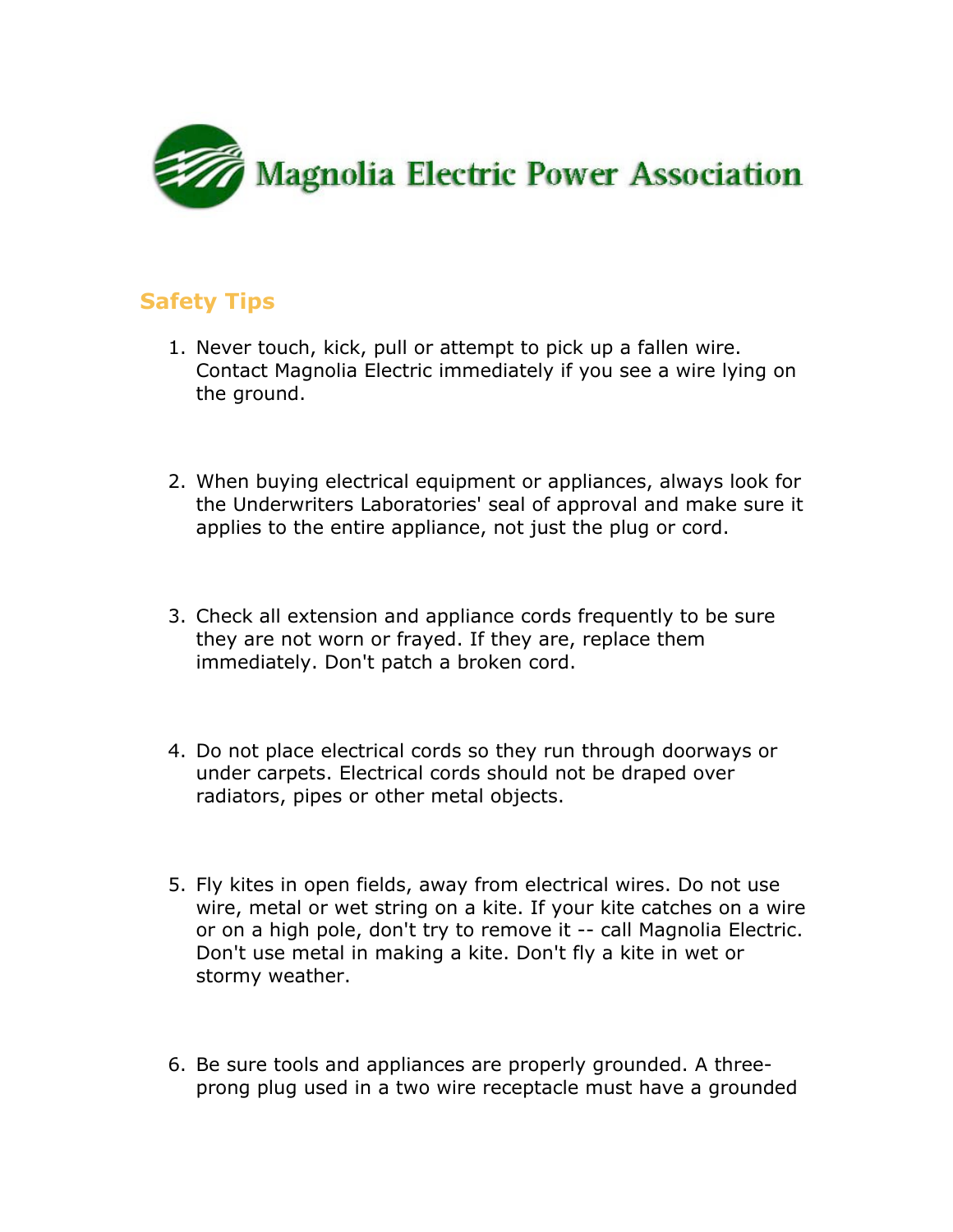

## **Safety Tips**

- 1. Never touch, kick, pull or attempt to pick up a fallen wire. Contact Magnolia Electric immediately if you see a wire lying on the ground.
- 2. When buying electrical equipment or appliances, always look for the Underwriters Laboratories' seal of approval and make sure it applies to the entire appliance, not just the plug or cord.
- 3. Check all extension and appliance cords frequently to be sure they are not worn or frayed. If they are, replace them immediately. Don't patch a broken cord.
- 4. Do not place electrical cords so they run through doorways or under carpets. Electrical cords should not be draped over radiators, pipes or other metal objects.
- 5. Fly kites in open fields, away from electrical wires. Do not use wire, metal or wet string on a kite. If your kite catches on a wire or on a high pole, don't try to remove it -- call Magnolia Electric. Don't use metal in making a kite. Don't fly a kite in wet or stormy weather.
- 6. Be sure tools and appliances are properly grounded. A threeprong plug used in a two wire receptacle must have a grounded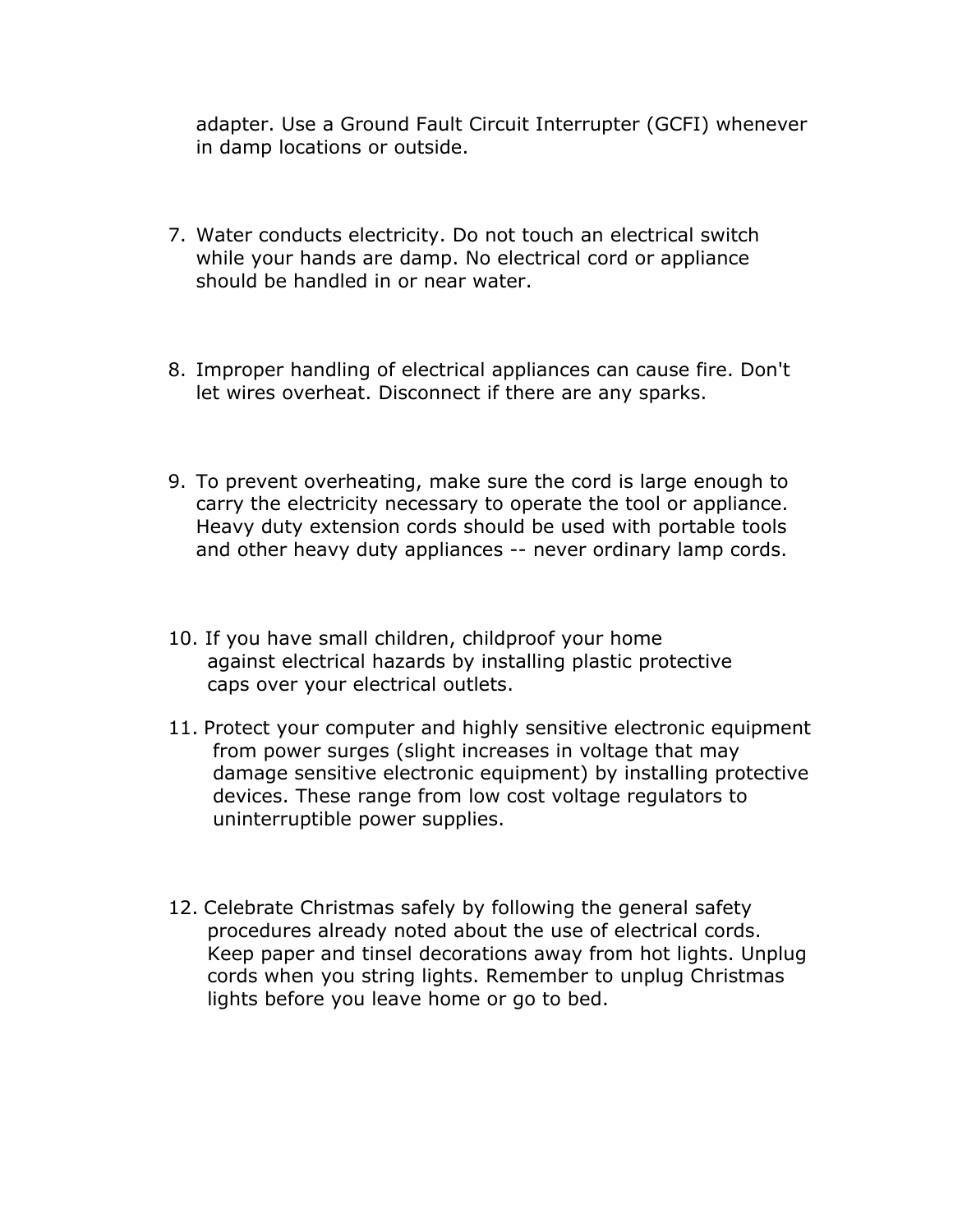adapter. Use a Ground Fault Circuit Interrupter (GCFI) whenever in damp locations or outside.

- 7. Water conducts electricity. Do not touch an electrical switch while your hands are damp. No electrical cord or appliance should be handled in or near water.
- 8. Improper handling of electrical appliances can cause fire. Don't let wires overheat. Disconnect if there are any sparks.
- 9. To prevent overheating, make sure the cord is large enough to carry the electricity necessary to operate the tool or appliance. Heavy duty extension cords should be used with portable tools and other heavy duty appliances -- never ordinary lamp cords.
- 10. If you have small children, childproof your home against electrical hazards by installing plastic protective caps over your electrical outlets.
- 11. Protect your computer and highly sensitive electronic equipment from power surges (slight increases in voltage that may damage sensitive electronic equipment) by installing protective devices. These range from low cost voltage regulators to uninterruptible power supplies.
- 12. Celebrate Christmas safely by following the general safety procedures already noted about the use of electrical cords. Keep paper and tinsel decorations away from hot lights. Unplug cords when you string lights. Remember to unplug Christmas lights before you leave home or go to bed.